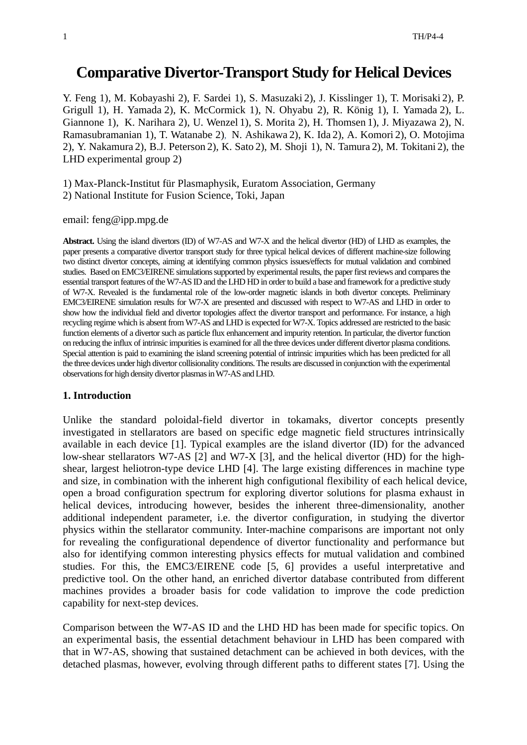# **Comparative Divertor-Transport Study for Helical Devices**

Y. Feng 1), M. Kobayashi 2), F. Sardei 1), S. Masuzaki 2), J. Kisslinger 1), T. Morisaki 2), P. Grigull 1), H. Yamada 2), K. McCormick 1), N. Ohyabu 2), R. König 1), I. Yamada 2), L. Giannone 1), K. Narihara 2), U. Wenzel 1), S. Morita 2), H. Thomsen 1), J. Miyazawa 2), N. Ramasubramanian 1), T. Watanabe 2), N. Ashikawa 2), K. Ida 2), A. Komori 2), O. Motojima 2), Y. Nakamura 2), B.J. Peterson 2), K. Sato 2), M. Shoji 1), N. Tamura 2), M. Tokitani 2), the LHD experimental group 2)

1) Max-Planck-Institut für Plasmaphysik, Euratom Association, Germany

2) National Institute for Fusion Science, Toki, Japan

email: feng@ipp.mpg.de

**Abstract.** Using the island divertors (ID) of W7-AS and W7-X and the helical divertor (HD) of LHD as examples, the paper presents a comparative divertor transport study for three typical helical devices of different machine-size following two distinct divertor concepts, aiming at identifying common physics issues/effects for mutual validation and combined studies. Based on EMC3/EIRENE simulations supported by experimental results, the paper first reviews and compares the essential transport features of the W7-AS ID and the LHD HD in order to build a base and framework for a predictive study of W7-X. Revealed is the fundamental role of the low-order magnetic islands in both divertor concepts. Preliminary EMC3/EIRENE simulation results for W7-X are presented and discussed with respect to W7-AS and LHD in order to show how the individual field and divertor topologies affect the divertor transport and performance. For instance, a high recycling regime which is absent from W7-AS and LHD is expected for W7-X. Topics addressed are restricted to the basic function elements of a divertor such as particle flux enhancement and impurity retention. In particular, the divertor function on reducing the influx of intrinsic impurities is examined for all the three devices under different divertor plasma conditions. Special attention is paid to examining the island screening potential of intrinsic impurities which has been predicted for all the three devices under high divertor collisionality conditions. The results are discussed in conjunction with the experimental observations for high density divertor plasmas in W7-AS and LHD.

## **1. Introduction**

Unlike the standard poloidal-field divertor in tokamaks, divertor concepts presently investigated in stellarators are based on specific edge magnetic field structures intrinsically available in each device [1]. Typical examples are the island divertor (ID) for the advanced low-shear stellarators W7-AS [2] and W7-X [3], and the helical divertor (HD) for the highshear, largest heliotron-type device LHD [4]. The large existing differences in machine type and size, in combination with the inherent high configutional flexibility of each helical device, open a broad configuration spectrum for exploring divertor solutions for plasma exhaust in helical devices, introducing however, besides the inherent three-dimensionality, another additional independent parameter, i.e. the divertor configuration, in studying the divertor physics within the stellarator community. Inter-machine comparisons are important not only for revealing the configurational dependence of divertor functionality and performance but also for identifying common interesting physics effects for mutual validation and combined studies. For this, the EMC3/EIRENE code [5, 6] provides a useful interpretative and predictive tool. On the other hand, an enriched divertor database contributed from different machines provides a broader basis for code validation to improve the code prediction capability for next-step devices.

Comparison between the W7-AS ID and the LHD HD has been made for specific topics. On an experimental basis, the essential detachment behaviour in LHD has been compared with that in W7-AS, showing that sustained detachment can be achieved in both devices, with the detached plasmas, however, evolving through different paths to different states [7]. Using the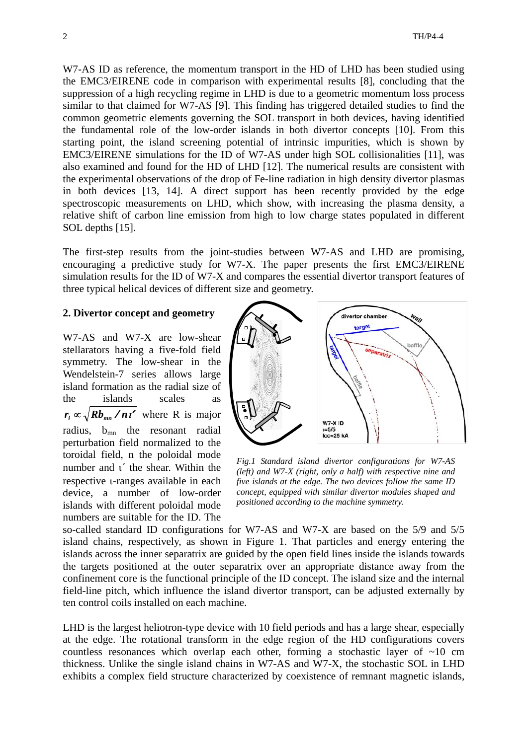W7-AS ID as reference, the momentum transport in the HD of LHD has been studied using the EMC3/EIRENE code in comparison with experimental results [8], concluding that the suppression of a high recycling regime in LHD is due to a geometric momentum loss process similar to that claimed for W7-AS [9]. This finding has triggered detailed studies to find the common geometric elements governing the SOL transport in both devices, having identified the fundamental role of the low-order islands in both divertor concepts [10]. From this starting point, the island screening potential of intrinsic impurities, which is shown by EMC3/EIRENE simulations for the ID of W7-AS under high SOL collisionalities [11], was also examined and found for the HD of LHD [12]. The numerical results are consistent with the experimental observations of the drop of Fe-line radiation in high density divertor plasmas in both devices [13, 14]. A direct support has been recently provided by the edge spectroscopic measurements on LHD, which show, with increasing the plasma density, a relative shift of carbon line emission from high to low charge states populated in different SOL depths [15].

The first-step results from the joint-studies between W7-AS and LHD are promising, encouraging a predictive study for W7-X. The paper presents the first EMC3/EIRENE simulation results for the ID of W7-X and compares the essential divertor transport features of three typical helical devices of different size and geometry.

## **2. Divertor concept and geometry**

W7-AS and W7-X are low-shear stellarators having a five-fold field symmetry. The low-shear in the Wendelstein-7 series allows large island formation as the radial size of the islands scales as  $r_i \propto \sqrt{Rb_{mn} / n t'}$  where R is major radius, b<sub>mn</sub> the resonant radial perturbation field normalized to the toroidal field, n the poloidal mode number and ι´ the shear. Within the respective ι-ranges available in each device, a number of low-order islands with different poloidal mode numbers are suitable for the ID. The



*Fig.1 Standard island divertor configurations for W7-AS (left) and W7-X (right, only a half) with respective nine and five islands at the edge. The two devices follow the same ID concept, equipped with similar divertor modules shaped and positioned according to the machine symmetry.* 

so-called standard ID configurations for W7-AS and W7-X are based on the 5/9 and 5/5 island chains, respectively, as shown in Figure 1. That particles and energy entering the islands across the inner separatrix are guided by the open field lines inside the islands towards the targets positioned at the outer separatrix over an appropriate distance away from the confinement core is the functional principle of the ID concept. The island size and the internal field-line pitch, which influence the island divertor transport, can be adjusted externally by ten control coils installed on each machine.

LHD is the largest heliotron-type device with 10 field periods and has a large shear, especially at the edge. The rotational transform in the edge region of the HD configurations covers countless resonances which overlap each other, forming a stochastic layer of  $\sim 10$  cm thickness. Unlike the single island chains in W7-AS and W7-X, the stochastic SOL in LHD exhibits a complex field structure characterized by coexistence of remnant magnetic islands,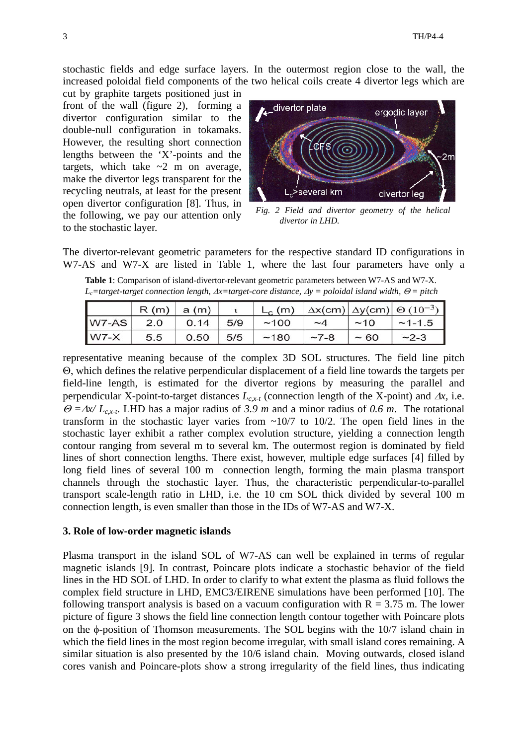stochastic fields and edge surface layers. In the outermost region close to the wall, the increased poloidal field components of the two helical coils create 4 divertor legs which are

cut by graphite targets positioned just in front of the wall (figure 2), forming a divertor configuration similar to the double-null configuration in tokamaks. However, the resulting short connection lengths between the 'X'-points and the targets, which take  $\sim$ 2 m on average, make the divertor legs transparent for the recycling neutrals, at least for the present open divertor configuration [8]. Thus, in the following, we pay our attention only to the stochastic layer.



*Fig. 2 Field and divertor geometry of the helical divertor in LHD.* 

The divertor-relevant geometric parameters for the respective standard ID configurations in W7-AS and W7-X are listed in Table 1, where the last four parameters have only a

**Table 1**: Comparison of island-divertor-relevant geometric parameters between W7-AS and W7-X. *Lc=target-target connection length,* ∆*x=target-core distance,* <sup>∆</sup>*y = poloidal island width,* <sup>Θ</sup> *= pitch* 

|        | R(m) | a(m) |     | $L_c$ (m) |           |      | $\Delta x$ (cm) $\Delta y$ (cm) $\Theta$ (10 <sup>-3</sup> ) |
|--------|------|------|-----|-----------|-----------|------|--------------------------------------------------------------|
| W7-AS  | 2.0  | 0.14 | 5/9 | ~100      | $-\Delta$ | ~10  | $-1-1.5$                                                     |
| $W7-X$ | 5.5  | 0.50 | 5/5 | ~180      | $-7-8$    | ~100 | $-2-3$                                                       |

representative meaning because of the complex 3D SOL structures. The field line pitch Θ, which defines the relative perpendicular displacement of a field line towards the targets per field-line length, is estimated for the divertor regions by measuring the parallel and perpendicular X-point-to-target distances *Lc,x-t* (connection length of the X-point) and ∆*x,* i.e. <sup>Θ</sup> *=*∆*x/ Lc,x-t*. LHD has a major radius of *3.9 m* and a minor radius of *0.6 m*. The rotational transform in the stochastic layer varies from  $\sim 10/7$  to 10/2. The open field lines in the stochastic layer exhibit a rather complex evolution structure, yielding a connection length contour ranging from several m to several km. The outermost region is dominated by field lines of short connection lengths. There exist, however, multiple edge surfaces [4] filled by long field lines of several 100 m connection length, forming the main plasma transport channels through the stochastic layer. Thus, the characteristic perpendicular-to-parallel transport scale-length ratio in LHD, i.e. the 10 cm SOL thick divided by several 100 m connection length, is even smaller than those in the IDs of W7-AS and W7-X.

#### **3. Role of low-order magnetic islands**

Plasma transport in the island SOL of W7-AS can well be explained in terms of regular magnetic islands [9]. In contrast, Poincare plots indicate a stochastic behavior of the field lines in the HD SOL of LHD. In order to clarify to what extent the plasma as fluid follows the complex field structure in LHD, EMC3/EIRENE simulations have been performed [10]. The following transport analysis is based on a vacuum configuration with  $R = 3.75$  m. The lower picture of figure 3 shows the field line connection length contour together with Poincare plots on the φ-position of Thomson measurements. The SOL begins with the 10/7 island chain in which the field lines in the most region become irregular, with small island cores remaining. A similar situation is also presented by the 10/6 island chain. Moving outwards, closed island cores vanish and Poincare-plots show a strong irregularity of the field lines, thus indicating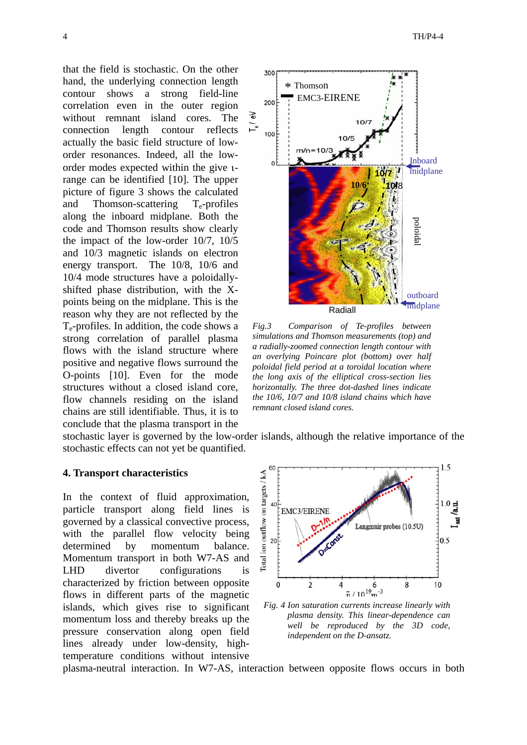that the field is stochastic. On the other hand, the underlying connection length contour shows a strong field-line correlation even in the outer region without remnant island cores. The connection length contour reflects actually the basic field structure of loworder resonances. Indeed, all the loworder modes expected within the give ιrange can be identified [10]. The upper picture of figure 3 shows the calculated and Thomson-scattering  $T_e$ -profiles along the inboard midplane. Both the code and Thomson results show clearly the impact of the low-order 10/7, 10/5 and 10/3 magnetic islands on electron energy transport. The 10/8, 10/6 and 10/4 mode structures have a poloidallyshifted phase distribution, with the Xpoints being on the midplane. This is the reason why they are not reflected by the  $T_e$ -profiles. In addition, the code shows a strong correlation of parallel plasma flows with the island structure where positive and negative flows surround the O-points [10]. Even for the mode structures without a closed island core, flow channels residing on the island chains are still identifiable. Thus, it is to conclude that the plasma transport in the



*Fig.3 Comparison of Te-profiles between simulations and Thomson measurements (top) and a radially-zoomed connection length contour with an overlying Poincare plot (bottom) over half poloidal field period at a toroidal location where the long axis of the elliptical cross-section lies horizontally. The three dot-dashed lines indicate the 10/6, 10/7 and 10/8 island chains which have remnant closed island cores.*

stochastic layer is governed by the low-order islands, although the relative importance of the stochastic effects can not yet be quantified.

### **4. Transport characteristics**

In the context of fluid approximation, particle transport along field lines is governed by a classical convective process, with the parallel flow velocity being determined by momentum balance. Momentum transport in both W7-AS and LHD divertor configurations is characterized by friction between opposite flows in different parts of the magnetic islands, which gives rise to significant momentum loss and thereby breaks up the pressure conservation along open field lines already under low-density, hightemperature conditions without intensive



*Fig. 4 Ion saturation currents increase linearly with plasma density. This linear-dependence can well be reproduced by the 3D code, independent on the D-ansatz.* 

plasma-neutral interaction. In W7-AS, interaction between opposite flows occurs in both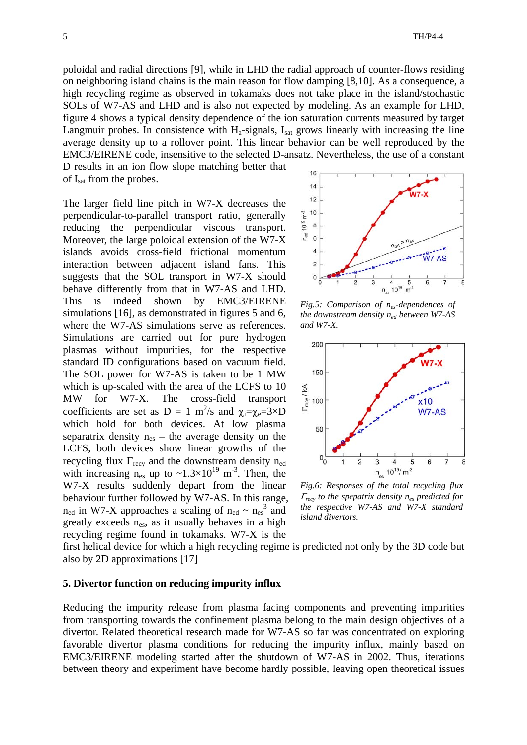poloidal and radial directions [9], while in LHD the radial approach of counter-flows residing on neighboring island chains is the main reason for flow damping [8,10]. As a consequence, a high recycling regime as observed in tokamaks does not take place in the island/stochastic SOLs of W7-AS and LHD and is also not expected by modeling. As an example for LHD, figure 4 shows a typical density dependence of the ion saturation currents measured by target Langmuir probes. In consistence with  $H_a$ -signals,  $I_{sat}$  grows linearly with increasing the line average density up to a rollover point. This linear behavior can be well reproduced by the EMC3/EIRENE code, insensitive to the selected D-ansatz. Nevertheless, the use of a constant

D results in an ion flow slope matching better that of I<sub>sat</sub> from the probes.

The larger field line pitch in W7-X decreases the perpendicular-to-parallel transport ratio, generally reducing the perpendicular viscous transport. Moreover, the large poloidal extension of the W7-X islands avoids cross-field frictional momentum interaction between adjacent island fans. This suggests that the SOL transport in W7-X should behave differently from that in W7-AS and LHD. This is indeed shown by EMC3/EIRENE simulations [16], as demonstrated in figures 5 and 6, where the W7-AS simulations serve as references. Simulations are carried out for pure hydrogen plasmas without impurities, for the respective standard ID configurations based on vacuum field. The SOL power for W7-AS is taken to be 1 MW which is up-scaled with the area of the LCFS to 10 MW for W7-X. The cross-field transport coefficients are set as  $D = 1$  m<sup>2</sup>/s and  $\chi_i = \chi_e = 3 \times D$ which hold for both devices. At low plasma separatrix density  $n_{es}$  – the average density on the LCFS, both devices show linear growths of the recycling flux  $\Gamma_{\text{recv}}$  and the downstream density n<sub>ed</sub> with increasing  $n_{es}$  up to ~1.3×10<sup>19</sup> m<sup>-3</sup>. Then, the W7-X results suddenly depart from the linear behaviour further followed by W7-AS. In this range,  $n_{\text{ed}}$  in W7-X approaches a scaling of  $n_{\text{ed}} \sim n_{\text{es}}^3$  and greatly exceeds  $n_{es}$ , as it usually behaves in a high recycling regime found in tokamaks. W7-X is the



*Fig.5: Comparison of nes-dependences of the downstream density ned between W7-AS and W7-X.* 



*Fig.6: Responses of the total recycling flux*  <sup>Γ</sup>*recy to the spepatrix density nes predicted for the respective W7-AS and W7-X standard island divertors.* 

first helical device for which a high recycling regime is predicted not only by the 3D code but also by 2D approximations [17]

#### **5. Divertor function on reducing impurity influx**

Reducing the impurity release from plasma facing components and preventing impurities from transporting towards the confinement plasma belong to the main design objectives of a divertor. Related theoretical research made for W7-AS so far was concentrated on exploring favorable divertor plasma conditions for reducing the impurity influx, mainly based on EMC3/EIRENE modeling started after the shutdown of W7-AS in 2002. Thus, iterations between theory and experiment have become hardly possible, leaving open theoretical issues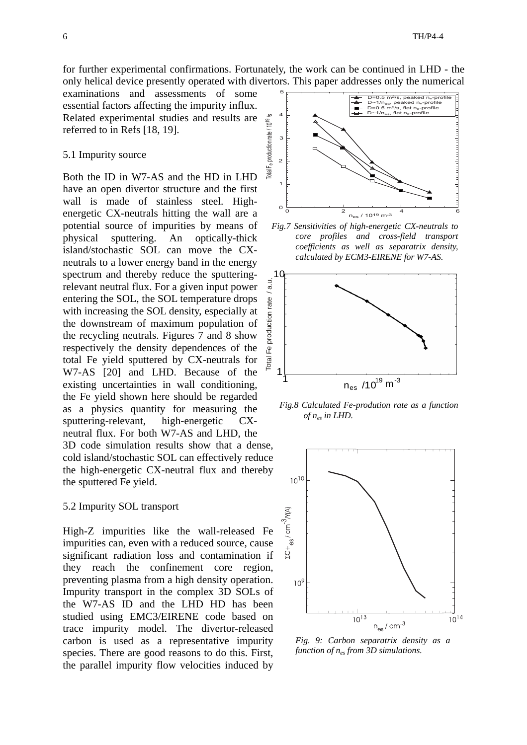for further experimental confirmations. Fortunately, the work can be continued in LHD - the only helical device presently operated with divertors. This paper addresses only the numerical

examinations and assessments of some essential factors affecting the impurity influx. Related experimental studies and results are referred to in Refs [18, 19].

#### 5.1 Impurity source

Both the ID in W7-AS and the HD in LHD have an open divertor structure and the first wall is made of stainless steel. Highenergetic CX-neutrals hitting the wall are a potential source of impurities by means of physical sputtering. An optically-thick island/stochastic SOL can move the CXneutrals to a lower energy band in the energy spectrum and thereby reduce the sputteringrelevant neutral flux. For a given input power entering the SOL, the SOL temperature drops with increasing the SOL density, especially at the downstream of maximum population of the recycling neutrals. Figures 7 and 8 show respectively the density dependences of the total Fe yield sputtered by CX-neutrals for W7-AS [20] and LHD. Because of the existing uncertainties in wall conditioning, the Fe yield shown here should be regarded as a physics quantity for measuring the sputtering-relevant, high-energetic CXneutral flux. For both W7-AS and LHD, the 3D code simulation results show that a dense, cold island/stochastic SOL can effectively reduce the high-energetic CX-neutral flux and thereby the sputtered Fe yield.

#### 5.2 Impurity SOL transport

High-Z impurities like the wall-released Fe impurities can, even with a reduced source, cause significant radiation loss and contamination if they reach the confinement core region, preventing plasma from a high density operation. Impurity transport in the complex 3D SOLs of the W7-AS ID and the LHD HD has been studied using EMC3/EIRENE code based on trace impurity model. The divertor-released carbon is used as a representative impurity species. There are good reasons to do this. First, the parallel impurity flow velocities induced by



*Fig.7 Sensitivities of high-energetic CX-neutrals to core profiles and cross-field transport coefficients as well as separatrix density, calculated by ECM3-EIRENE for W7-AS.* 



*Fig.8 Calculated Fe-prodution rate as a function of nes in LHD.* 



*Fig. 9: Carbon separatrix density as a function of nes from 3D simulations.*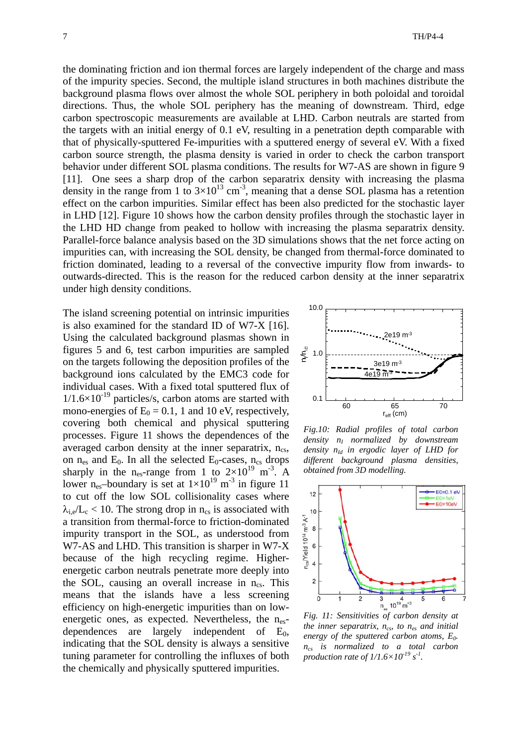the dominating friction and ion thermal forces are largely independent of the charge and mass of the impurity species. Second, the multiple island structures in both machines distribute the background plasma flows over almost the whole SOL periphery in both poloidal and toroidal directions. Thus, the whole SOL periphery has the meaning of downstream. Third, edge carbon spectroscopic measurements are available at LHD. Carbon neutrals are started from the targets with an initial energy of 0.1 eV, resulting in a penetration depth comparable with that of physically-sputtered Fe-impurities with a sputtered energy of several eV. With a fixed carbon source strength, the plasma density is varied in order to check the carbon transport behavior under different SOL plasma conditions. The results for W7-AS are shown in figure 9 [11]. One sees a sharp drop of the carbon separatrix density with increasing the plasma density in the range from 1 to  $3\times10^{13}$  cm<sup>-3</sup>, meaning that a dense SOL plasma has a retention effect on the carbon impurities. Similar effect has been also predicted for the stochastic layer in LHD [12]. Figure 10 shows how the carbon density profiles through the stochastic layer in the LHD HD change from peaked to hollow with increasing the plasma separatrix density. Parallel-force balance analysis based on the 3D simulations shows that the net force acting on impurities can, with increasing the SOL density, be changed from thermal-force dominated to friction dominated, leading to a reversal of the convective impurity flow from inwards- to outwards-directed. This is the reason for the reduced carbon density at the inner separatrix under high density conditions.

The island screening potential on intrinsic impurities is also examined for the standard ID of W7-X [16]. Using the calculated background plasmas shown in figures 5 and 6, test carbon impurities are sampled on the targets following the deposition profiles of the background ions calculated by the EMC3 code for individual cases. With a fixed total sputtered flux of  $1/1.6\times10^{-19}$  particles/s, carbon atoms are started with mono-energies of  $E_0 = 0.1$ , 1 and 10 eV, respectively, covering both chemical and physical sputtering processes. Figure 11 shows the dependences of the averaged carbon density at the inner separatrix,  $n_{cs}$ , on  $n_{\text{es}}$  and  $E_0$ . In all the selected  $E_0$ -cases,  $n_{\text{cs}}$  drops sharply in the n<sub>es</sub>-range from 1 to  $2\times10^{19}$  m<sup>-3</sup>. A lower n<sub>es</sub>-boundary is set at  $1\times10^{19}$  m<sup>-3</sup> in figure 11 to cut off the low SOL collisionality cases where  $\lambda_{i,e}/L_c < 10$ . The strong drop in n<sub>cs</sub> is associated with a transition from thermal-force to friction-dominated impurity transport in the SOL, as understood from W7-AS and LHD. This transition is sharper in W7-X because of the high recycling regime. Higherenergetic carbon neutrals penetrate more deeply into the SOL, causing an overall increase in  $n_{cs}$ . This means that the islands have a less screening efficiency on high-energetic impurities than on lowenergetic ones, as expected. Nevertheless, the  $n_{es}$ dependences are largely independent of  $E_0$ , indicating that the SOL density is always a sensitive tuning parameter for controlling the influxes of both the chemically and physically sputtered impurities.



*Fig.10: Radial profiles of total carbon density nI normalized by downstream density nId in ergodic layer of LHD for different background plasma densities, obtained from 3D modelling.*



*Fig. 11: Sensitivities of carbon density at the inner separatrix, ncs, to nes and initial energy of the sputtered carbon atoms, E0. ncs is normalized to a total carbon production rate of 1/1.6×10-19 s-1.*